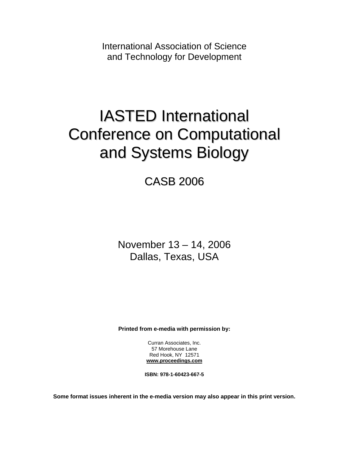International Association of Science and Technology for Development

# IASTED International Conference on Computational and Systems Biology

CASB 2006

November 13 – 14, 2006 Dallas, Texas, USA

**Printed from e-media with permission by:** 

Curran Associates, Inc. 57 Morehouse Lane Red Hook, NY 12571 **[www.proceedings.com](http://www.proceedings.com/)**

**ISBN: 978-1-60423-667-5** 

**Some format issues inherent in the e-media version may also appear in this print version.**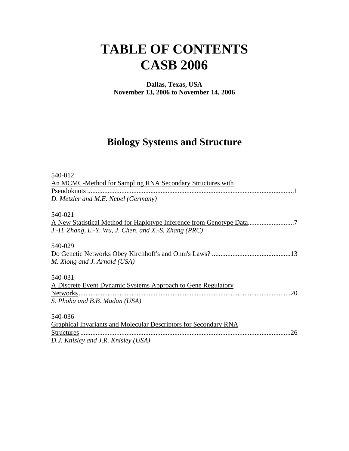# **TABLE OF CONTENTS CASB 2006**

**Dallas, Texas, USA November 13, 2006 to November 14, 2006**

#### **Biology Systems and Structure**

| 540-012<br>An MCMC-Method for Sampling RNA Secondary Structures with<br>D. Metzler and M.E. Nebel (Germany) |
|-------------------------------------------------------------------------------------------------------------|
| 540-021                                                                                                     |
| J.-H. Zhang, L.-Y. Wu, J. Chen, and X.-S. Zhang $(PRC)$                                                     |
| 540-029                                                                                                     |
|                                                                                                             |
| M. Xiong and J. Arnold (USA)                                                                                |
| 540-031                                                                                                     |
| A Discrete Event Dynamic Systems Approach to Gene Regulatory                                                |
| .20                                                                                                         |
| S. Phoha and B.B. Madan (USA)                                                                               |
| 540-036                                                                                                     |
| Graphical Invariants and Molecular Descriptors for Secondary RNA                                            |
| .26                                                                                                         |
| D.J. Knisley and J.R. Knisley (USA)                                                                         |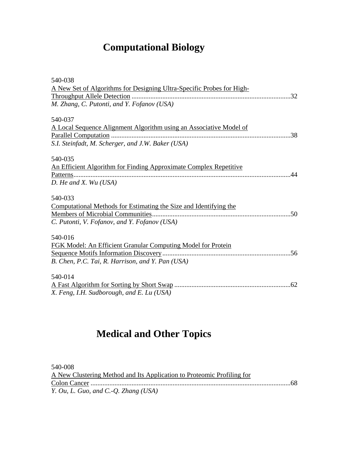## **Computational Biology**

| 540-038                                                               |
|-----------------------------------------------------------------------|
| A New Set of Algorithms for Designing Ultra-Specific Probes for High- |
|                                                                       |
| M. Zhang, C. Putonti, and Y. Fofanov (USA)                            |
| 540-037                                                               |
| A Local Sequence Alignment Algorithm using an Associative Model of    |
|                                                                       |
| S.I. Steinfadt, M. Scherger, and J.W. Baker (USA)                     |
| 540-035                                                               |
| An Efficient Algorithm for Finding Approximate Complex Repetitive     |
| 44                                                                    |
| $D.$ He and X. Wu (USA)                                               |
| 540-033                                                               |
| Computational Methods for Estimating the Size and Identifying the     |
|                                                                       |
| C. Putonti, V. Fofanov, and Y. Fofanov (USA)                          |
| 540-016                                                               |
| FGK Model: An Efficient Granular Computing Model for Protein          |
|                                                                       |
| B. Chen, P.C. Tai, R. Harrison, and Y. Pan (USA)                      |
| 540-014                                                               |
|                                                                       |
| X. Feng, I.H. Sudborough, and E. Lu (USA)                             |
|                                                                       |

## **Medical and Other Topics**

540-008 A New Clustering Method and Its Application to Proteomic Profiling for Colon Cancer .....................................................................................................................68 *Y. Ou, L. Guo, and C.-Q. Zhang (USA)*